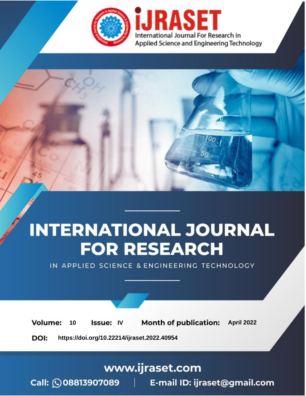

# **INTERNATIONAL JOURNAL FOR RESEARCH**

IN APPLIED SCIENCE & ENGINEERING TECHNOLOGY

10 **Issue: IV Month of publication:** April 2022 **Volume:** 

**https://doi.org/10.22214/ijraset.2022.40954**DOI:

www.ijraset.com

Call: **Q08813907089** E-mail ID: ijraset@gmail.com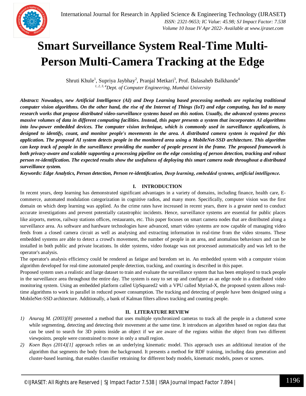

### **Smart Surveillance System Real-Time Multi-Person Multi-Camera Tracking at the Edge**

Shruti Khule<sup>1</sup>, Supriya Jaybhay<sup>2</sup>, Pranjal Metkari<sup>3</sup>, Prof. Balasaheb Balkhande<sup>4</sup> *1, 2, 3, 4Dept. of Computer Engineering, Mumbai University*

*Abstract: Nowadays, new Artificial Intelligence (AI) and Deep Learning based processing methods are replacing traditional computer vision algorithms. On the other hand, the rise of the Internet of Things (IoT) and edge computing, has led to many research works that propose distributed video-surveillance systems based on this notion. Usually, the advanced systems process massive volumes of data in different computing facilities. Instead, this paper presents a system that incorporates AI algorithms into low-power embedded devices. The computer vision technique, which is commonly used in surveillance applications, is designed to identify, count, and monitor people's movements in the area. A distributed camera system is required for this application. The proposed AI system detects people in the monitored area using a MobileNet-SSD architecture. This algorithm can keep track of people in the surveillance providing the number of people present in the frame. The proposed framework is both privacy-aware and scalable supporting a processing pipeline on the edge consisting of person detection, tracking and robust person re-identification. The expected results show the usefulness of deploying this smart camera node throughout a distributed surveillance system.*

*Keywords: Edge Analytics, Person detection, Person re-identification, Deep learning, embedded systems, artificial intelligence.* 

#### **I. INTRODUCTION**

In recent years, deep learning has demonstrated significant advantages in a variety of domains, including finance, health care, Ecommerce, automated modulation categorization in cognitive radios, and many more. Specifically, computer vision was the first domain on which deep learning was applied. As the crime rates have increased in recent years, there is a greater need to conduct accurate investigations and prevent potentially catastrophic incidents. Hence, surveillance systems are essential for public places like airports, metros, railway stations offices, restaurants, etc. This paper focuses on smart camera nodes that are distributed along a surveillance area. As software and hardware technologies have advanced, smart video systems are now capable of managing video feeds from a closed camera circuit as well as analysing and extracting information in real-time from the video streams. These embedded systems are able to detect a crowd's movement, the number of people in an area, and anomalous behaviours and can be installed in both public and private locations. In older systems, video footage was not processed automatically and was left to the operator's analysis.

The operator's analysis efficiency could be rendered as fatigue and boredom set in. An embedded system with a computer vision algorithm developed for real-time automated people detection, tracking, and counting is described in this paper.

Proposed system uses a realistic and large dataset to train and evaluate the surveillance system that has been employed to track people in the surveillance area throughout the entire day. The system is easy to set up and configure as an edge node in a distributed video monitoring system. Using an embedded platform called UpSquared2 with a VPU called Myriad-X, the proposed system allows realtime algorithms to work in parallel in reduced power consumption. The tracking and detecting of people have been designed using a MobileNet-SSD architecture. Additionally, a bank of Kalman filters allows tracking and counting people.

#### **II. LITERATURE REVIEW**

- *1) Anurag M. (2003)[8]* presented a method that uses multiple synchronized cameras to track all the people in a cluttered scene while segmenting, detecting and detecting their movement at the same time. It introduces an algorithm based on region data that can be used to search for 3D points inside an object if we are aware of the regions within the object from two different viewpoints. people were constrained to move in only a small region.
- *2) Koen Buys (2014)[1]* approach relies on an underlying kinematic model. This approach uses an additional iteration of the algorithm that segments the body from the background. It presents a method for RDF training, including data generation and cluster-based learning, that enables classifier retraining for different body models, kinematic models, poses or scenes.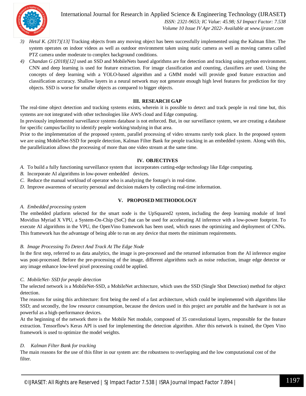

International Journal for Research in Applied Science & Engineering Technology (IJRASET**)**

 *ISSN: 2321-9653; IC Value: 45.98; SJ Impact Factor: 7.538 Volume 10 Issue IV Apr 2022- Available at www.ijraset.com*

- *3) Hetal K. (2017)[13]* Tracking objects from any moving object has been successfully implemented using the Kalman filter. The system operates on indoor videos as well as outdoor environment taken using static camera as well as moving camera called PTZ camera under moderate to complex background conditions*.*
- *4) Chandan G (2018)[12]* used an SSD and MobileNets based algorithms are for detection and tracking using python environment. CNN and deep learning is used for feature extraction. For image classification and counting, classifiers are used. Using the concepts of deep learning with a YOLO-based algorithm and a GMM model will provide good feature extraction and classification accuracy. Shallow layers in a neural network may not generate enough high level features for prediction for tiny objects. SSD is worse for smaller objects as compared to bigger objects.

#### **III. RESEARCH GAP**

The real-time object detection and tracking systems exists, wherein it is possible to detect and track people in real time but, this systems are not integrated with other technologies like AWS cloud and Edge computing.

In previously implemented surveillance systems database is not enforced. But, in our surveillance system, we are creating a database for specific campus/facility to identify people working/studying in that area.

Prior to the implementation of the proposed system, parallel processing of video streams rarely took place. In the proposed system we are using MobileNet-SSD for people detection, Kalman Filter Bank for people tracking in an embedded system. Along with this, the parallelization allows the processing of more than one video stream at the same time.

#### **IV. OBJECTIVES**

*A.* To build a fully functioning surveillance system that incorporates cutting-edge technology like Edge computing*.*

- *B.* Incorporate AI algorithms in low-power embedded devices.
- *C.* Reduce the manual workload of operator who is analyzing the footage's in real-time.
- *D.* Improve awareness of security personal and decision makers by collecting real-time information.

#### **V. PROPOSED METHODOLOGY**

#### *A. Embedded processing system*

The embedded platform selected for the smart node is the UpSquared2 system, including the deep learning module of Intel Movidius Myriad X VPU, a System-On-Chip (SoC) that can be used for accelerating AI inference with a low-power footprint. To execute AI algorithms in the VPU, the OpenVino framework has been used, which eases the optimizing and deployment of CNNs. This framework has the advantage of being able to run on any device that meets the minimum requirements.

#### *B. Image Processing To Detect And Track At The Edge Node*

In the first step, referred to as data analytics, the image is pre-processed and the returned information from the AI inference engine was post-processed. Before the pre-processing of the image, different algorithms such as noise reduction, image edge detector or any image enhance low-level pixel processing could be applied.

#### *C. MobileNet- SSD for people detection*

The selected network is a MobileNet-SSD, a MobileNet architecture, which uses the SSD (Single Shot Detection) method for object detection.

The reasons for using this architecture: first being the need of a fast architecture, which could be implemented with algorithms like SSD; and secondly, the low resource consumption, because the devices used in this project are portable and the hardware is not as powerful as a high-performance devices.

At the beginning of the network there is the Mobile Net module, composed of 35 convolutional layers, responsible for the feature extraction. Tensorflow's Keras API is used for implementing the detection algorithm. After this network is trained, the Open Vino framework is used to optimize the model weights.

#### *D. Kalman Filter Bank for tracking*

The main reasons for the use of this filter in our system are: the robustness to overlapping and the low computational cost of the filter.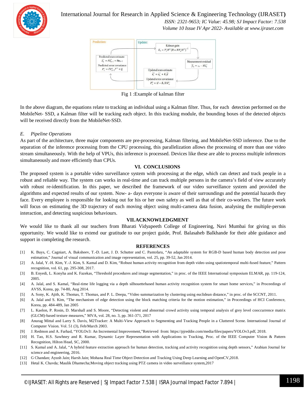

#### International Journal for Research in Applied Science & Engineering Technology (IJRASET**)**

 *ISSN: 2321-9653; IC Value: 45.98; SJ Impact Factor: 7.538 Volume 10 Issue IV Apr 2022- Available at www.ijraset.com*



Fig 1 :Example of kalman filter

In the above diagram, the equations relate to tracking an individual using a Kalman filter. Thus, for each detection performed on the MobileNet- SSD, a Kalman filter will be tracking each object. In this tracking module, the bounding boxes of the detected objects will be received directly from the MobileNet-SSD.

#### *E. Pipeline Operations*

As part of the architecture, three major components are pre-processing, Kalman filtering, and MobileNet-SSD inference. Due to the separation of the inference processing from the CPU processing, this parallelization allows the processing of more than one video stream simultaneously. With the help of VPUs, this inference is processed. Devices like these are able to process multiple inferences simultaneously and more efficiently than CPUs.

#### **VI. CONCLUSIONS**

The proposed system is a portable video surveillance system with processing at the edge, which can detect and track people in a robust and reliable way. The system can works in real-time and can track multiple persons in the camera's field of view accurately with robust re-identification. In this paper, we described the framework of our video surveillance system and provided the algorithms and expected results of our system. Now- a- days everyone is aware of their surroundings and the potential hazards they face. Every employee is responsible for looking out for his or her own safety as well as that of their co-workers. The future work will focus on estimating the 3D trajectory of each moving object using multi-camera data fusion, analysing the multiple-person interaction, and detecting suspicious behaviours.

#### **VII.ACKNOWLEDGMENT**

We would like to thank all our teachers from Bharati Vidyapeeth College of Engineering, Navi Mumbai for giving us this opportunity. We would like to extend our gratitude to our project guide, Prof. Balasaheb Balkhande for their able guidance and support in completing the research.

#### **REFERENCES**

- [1] K. Buys, C. Cagniart, A. Baksheev, T.-D. Laet, J. D. Schutter and C. Pantofaru, "An adaptable system for RGB-D based human body detection and pose estimation," Journal of visual communication and image representation, vol. 25, pp. 39-52, Jan 2014.
- [2] A. Jalal, Y.-H. Kim, Y.-J. Kim, S. Kamal and D. Kim, "Robust human activity recognition from depth video using spatiotemporal multi-fused feature," Pattern recognition, vol. 61, pp. 295-308, 2017.
- [3] B. Enyedi, L. Konyha and K. Fazekas, "Threshold procedures and image segmentation," in proc. of the IEEE International symposium ELMAR, pp. 119-124, 2005.
- [4] A. Jalal, and S. Kamal, "Real-time life logging via a depth silhouettebased human activity recognition system for smart home services," in Proceedings of AVSS, Korea, pp. 74-80, Aug 2014.
- [5] A. Sony, K. Ajith, K. Thomas, T. Thomas, and P. L. Deepa, "Video summarization by clustering using euclidean distance," in proc. of the SCCNT, 2011.
- [6] A. Jalal and S. Kim, "The mechanism of edge detection using the block matching criteria for the motion estimation," in Proceedings of HCI Conference, Korea, pp. 484-489, Jan 2005
- [7] L. Kaelon, P. Rosin, D. Marshall and S. Moore, "Detecting violent and abnormal crowd activity using temporal analysis of grey level cooccurrence matrix (GLCM)-based texture measures," MVA, vol. 28, no. 3, pp. 361-371, 2017
- [8] Anurag Mittal and Larry S. Davis, M2Tracker: A Multi-View Approach to Segmenting and Tracking People in a Cluttered Scene. International Journal of Computer Vision. Vol. 51 (3), Feb/March 2003.
- [9] J. Redmon and A. Farhad, "YOLOv3: An Incremental Improvement,"Retrieved from: https://pjreddie.com/media/files/papers/YOLOv3.pdf, 2018.
- [10] H. Tao, H.S. Sawhney and R. Kumar, Dynamic Layer Representation with Applications to Tracking, Proc. of the IEEE Computer Vision & Pattern Recognition, Hilton Head, SC, 2000.
- [11] S. Kamal and A. Jalal, "A hybrid feature extraction approach for human detection, tracking and activity recognition using depth sensors," Arabian Journal for science and engineering, 2016.
- [12] G Chandan; Ayush Jain; Harsh Jain; Mohana Real Time Object Detection and Tracking Using Deep Learning and OpenCV,2018.
- [13] Hetal K. Chavda; Maulik Dhamecha;Moving object tracking using PTZ camera in video surveillance system,2017